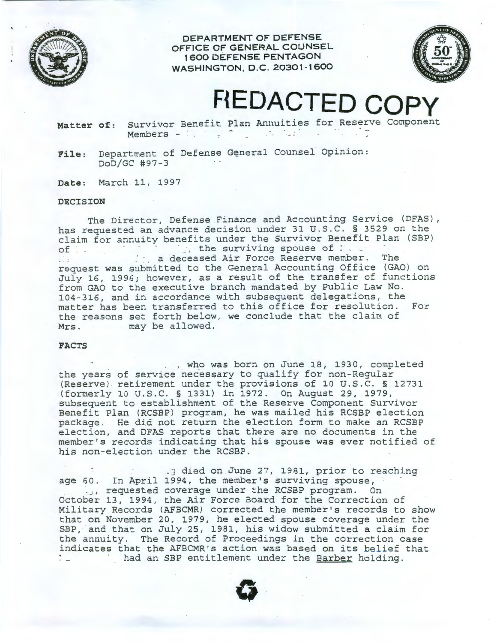

**DEPARTMENT OF DEFENSE OFFICE OF GENERAL COUNSEL 1 600 DEFENSE PENTAGON WASHINGTON, D.C. 20301-1600** 



# **REDACTED COP**

**Matter of:** Survivor Benefit Plan Annuities for Reserve Component Members - :

File: Department of Defense General Counsel Opinion: DoD/GC #97-3

**Date:** March 11, 1997

#### **DECISION**

The Director, Defense Finance and Accounting Service (DFAS), has requested an advance decision under 31 U.S.C. § 3529 on the claim for annuity benefits under the Survivor Benefit Plan (SBP)<br>of the surviving spouse of :  $\therefore$ , the surviving spouse of  $\therefore$ . ... a deceased Air Force Reserve member. The request was submitted to the General Accounting Office (GAO) on July 16, 1996; however, as a result of the transfer of functions from GAO to the executive branch mandated by Public Law No. 104-316, and in accordance with subsequent delegations, the matter has been transferred to this office for resolution. For the reasons set forth below, we conclude that the claim of Mrs. may be allowed. may be allowed.

## **FACTS**

. , who was born on June 18, 1930, completed the years of service necessary to qualify for non-Regular (Reserve) retirement under the provisions of 10 U.S.C. § 12731 (formerly 10 U.S.C. § 1331) in 1972. On August 29, 1979, subsequent to establishment of the Reserve Component Survivor Benefit Plan (RCSBP) program, he was mailed his RCSBP election package. He did not return the election form to make an RCSBP election, and DFAS reports that there are no documents *in* the member's records indicating that his spouse was ever notified of his non-election under the RCSBP.

17 died on June 27, 1981, prior to reaching age 60. In April 1994, the member's surviving spouse, ..., requested coverage under the RCSBP program. On October 13, 1994, the Air Force Board for the Correction of Military Records (AFBCMR) corrected the member's records to show that on November 20, 1979, he elected spouse coverage under the SBP, and that on July 25, 1981, his widow submitted a claim for the annuity. The Record of Proceedings in the correction case indicates that the AFBCMR's action was based on its belief that had an SBP entitlement under the Barber holding.

**0**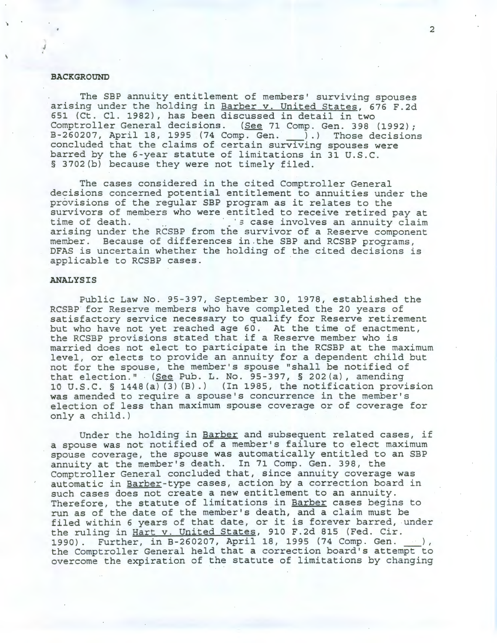# **BACKGROUND**

The SBP annuity entitlement of members' surviving spouses arising under the holding in Barber v. United States, 676 F.2d 651 (Ct . Cl. 1982), has been discussed in detail in two Comptroller General decisions. (See 71 Comp. Gen. 398 (1992); B-260207, April 18, 1995 (74 Comp. Gen. ) .) Those decisions concluded that the claims of certain surviving spouses were barred by the 6-year statute of limitations in 31 U.S.C. § 3702(b) because they were not timely filed.

The cases considered in the cited Comptroller General decisions concerned potential entitlement to annuities under the provisions of the regular SBP program as it relates to the survivors of members who were entitled to receive retired pay at<br>time of death.<br>  $\frac{1}{3}$  case involves an annuity claim is case involves an annuity claim arising under the RCSBP from the survivor of a Reserve component member. Because of differences in .the SBP and RCSBP programs , DFAS is uncertain whether the holding of the cited decisions is applicable to RCSBP cases.

### **ANALYSIS**

Public Law No. 95-397, September 30, 1978, established the RCSBP for Reserve members who have completed the 20 years of satisfactory service necessary to qualify for Reserve retirement but who have not yet reached age 60. At the time of enactment, the RCSBP provisions stated that if a Reserve member who is married does not elect to participate in the RCSBP at the maximum level, or elects to provide an annuity for a dependent child but not for the spouse, the member's spouse "shall be notified of that election." (See Pub. L. No. 95-397, § 202(a), amending 10 U.S. C. § 1448 (a) (3) (B) . ) (In 1985, the notification provision was amended to require a spouse's concurrence in the member's election of less than maximum spouse coverage or of coverage for only a child. )

Under the holding in Barber and subsequent related cases, if a spouse was not notified of a member's failure to elect maximum spouse coverage, the spouse was automatically entitled to an SBP annuity at the member's death. In 71 Comp. Gen. 398, the Comptroller General concluded that, since annuity coverage was automatic in Barber-type cases, action by a correction board in such cases does not create a new entitlement to an annuity . Therefore, the statute of limitations in Barber cases begins to run as of the date of the member's death, and a claim must be filed within 6 years of that date, or it is forever barred, under the ruling in Hart v. United States, 910 F.2d 815 (Fed. Cir.<br>1990). Further, in B-260207, April 18, 1995 (74 Comp. Gen. 1990). Further, in B-260207, April 18, 1995 (74 Comp. Gen. 2012),<br>the Comptroller General held that a correction board's attempt to overcome the expiration of the statute of limitations by changing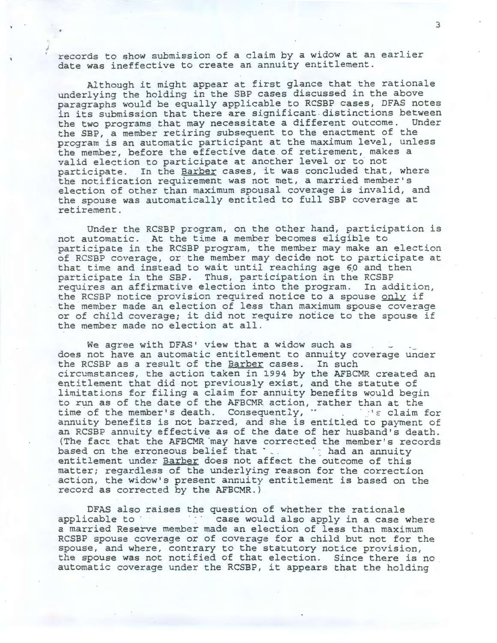records to show submission of a claim by a widow at an earlier date was ineffective to create an annuity entitlement.

Although it might appear at first glance that the rationale underlying the holding in the SBP cases discussed in the above paragraphs would be equally applicable to RCSBP cases, DFAS notes in its submission that there are significant . distinctions between the two programs that may necessitate a different outcome. Under the SBP, a member retiring subsequent to the enactment of the program is an automatic participant at the maximum level, unless the member, before the effective date of retirement, makes a valid election to participate at another level or to not participate. In the Barber cases, it was concluded that, where the notification requirement was not met, a married member's election of other than maximum spousal coverage is invalid, and the spouse was automatically entitled to full SBP coverage at retirement.

Under the RCSBP program, on the other hand, participation is not automatic. At the time a member becomes eligible to participate in the RCSBP program, the member may make an election of RCSBP coverage, or the member may decide not to participate at that time and instead to wait until reaching age 60 and then participate in the SBP. Thus, participation in the RCSBP requires an affirmative election into the program. In addition, the RCSBP notice provision required notice to a spouse only if the member made an election of less than maximum spouse coverage or of child coverage; it did not require notice to the spouse if the member made no election at all.

We agree with DFAS' view that a widow such as does not have an automatic entitlement to annuity coverage under the RCSBP as a result of the Barber cases. In such circumstances, the action taken in 1994 by the AFBCMR created an entitlement that did not previously exist, and the statute of limitations for filing a claim for annuity benefits would begin to run as of the date of the AFBCMR action, rather than at the time of the member's death. Consequently,  $\cdot$   $\cdot$   $\cdot$   $\cdot$   $\cdot$   $\cdot$  claim for annuity benefits is not barred, and she is entitled to payment of an RCSBP annuity effective as of the date of her husband's death. (The fact that the AFBCMR ·may have corrected the member's records based on the erroneous belief that  $\cdot$ . entitlement under Barber does not affect the outcome of this matter; regardless of the underlying reason for the correction action, the widow's present annuity entitlement is based on the record as corrected by the AFBCMR.)

DFAS also raises the question of whether the rationale applicable to **be a case would also apply in a case where** a married Reserve member made an election of less than maximum RCSBP spouse coverage or of coverage for a child but not for the spouse, and where, contrary to the statutory notice provision, the spouse was not notified of that election. Since there is no automatic coverage under the RCSBP, it appears that the holding